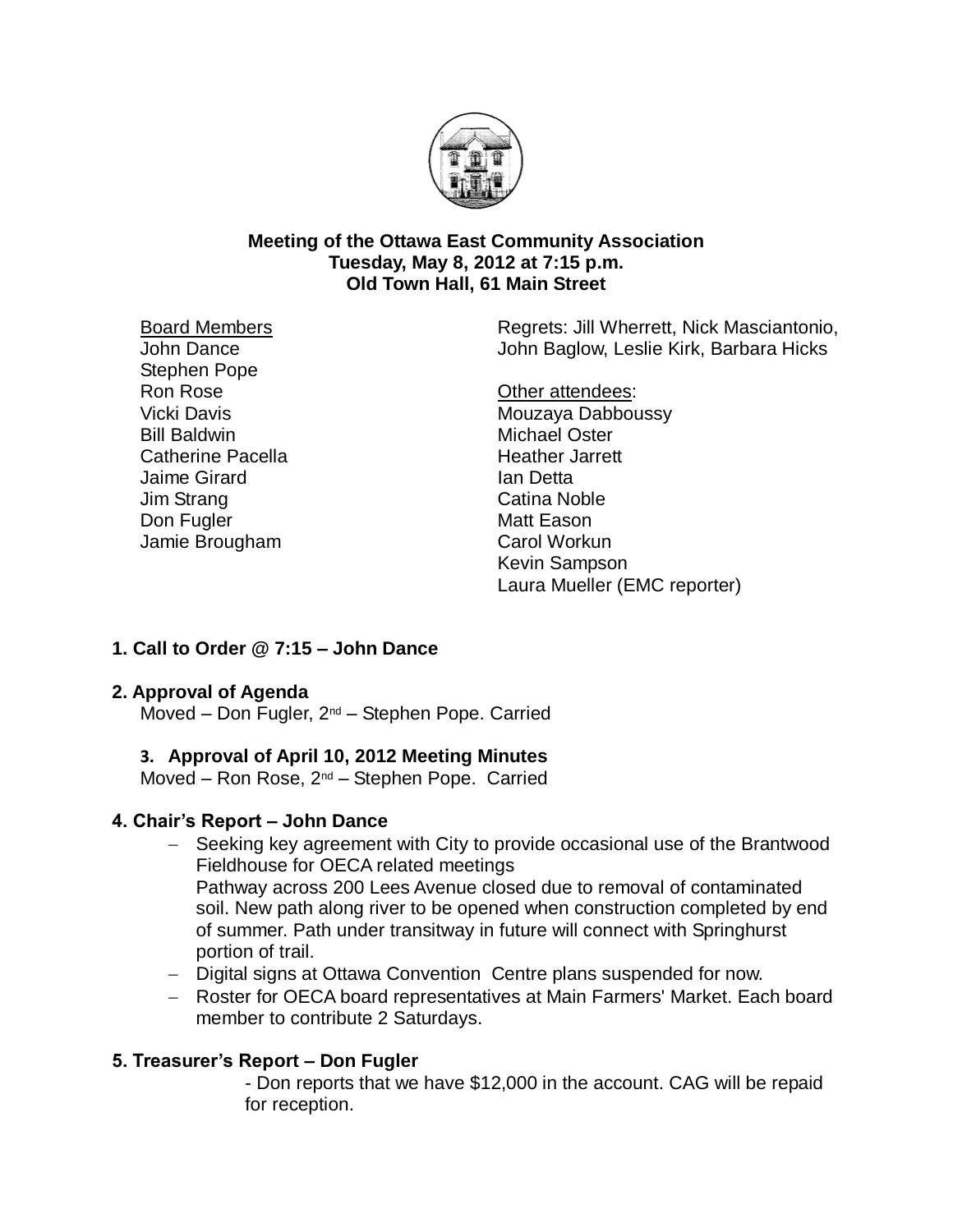

### **Meeting of the Ottawa East Community Association Tuesday, May 8, 2012 at 7:15 p.m. Old Town Hall, 61 Main Street**

Board Members

John Dance Stephen Pope Ron Rose Vicki Davis Bill Baldwin Catherine Pacella Jaime Girard Jim Strang Don Fugler Jamie Brougham

Regrets: Jill Wherrett, Nick Masciantonio, John Baglow, Leslie Kirk, Barbara Hicks

Other attendees: Mouzaya Dabboussy Michael Oster Heather Jarrett Ian Detta Catina Noble Matt Eason Carol Workun Kevin Sampson Laura Mueller (EMC reporter)

# **1. Call to Order @ 7:15 – John Dance**

## **2. Approval of Agenda**

Moved – Don Fugler, 2nd – Stephen Pope. Carried

## **3. Approval of April 10, 2012 Meeting Minutes**

Moved – Ron Rose, 2nd – Stephen Pope. Carried

## **4. Chair's Report – John Dance**

- Seeking key agreement with City to provide occasional use of the Brantwood Fieldhouse for OECA related meetings Pathway across 200 Lees Avenue closed due to removal of contaminated soil. New path along river to be opened when construction completed by end of summer. Path under transitway in future will connect with Springhurst portion of trail.
- Digital signs at Ottawa Convention Centre plans suspended for now.
- Roster for OECA board representatives at Main Farmers' Market. Each board member to contribute 2 Saturdays.

# **5. Treasurer's Report – Don Fugler**

- Don reports that we have \$12,000 in the account. CAG will be repaid for reception.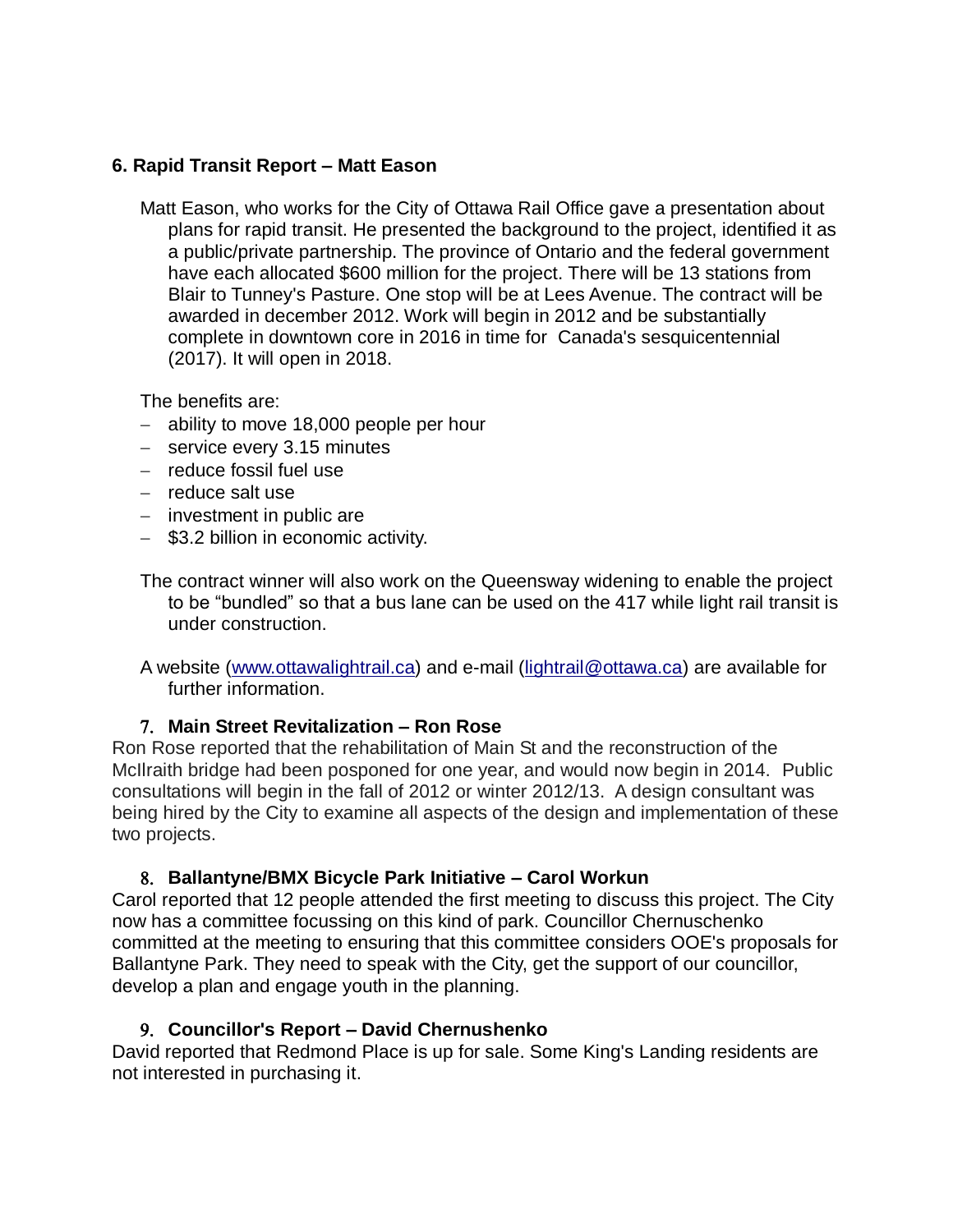## **6. Rapid Transit Report – Matt Eason**

Matt Eason, who works for the City of Ottawa Rail Office gave a presentation about plans for rapid transit. He presented the background to the project, identified it as a public/private partnership. The province of Ontario and the federal government have each allocated \$600 million for the project. There will be 13 stations from Blair to Tunney's Pasture. One stop will be at Lees Avenue. The contract will be awarded in december 2012. Work will begin in 2012 and be substantially complete in downtown core in 2016 in time for Canada's sesquicentennial (2017). It will open in 2018.

The benefits are:

- ability to move 18,000 people per hour
- service every 3.15 minutes
- $-$  reduce fossil fuel use
- $-$  reduce salt use
- $-$  investment in public are
- \$3.2 billion in economic activity.

The contract winner will also work on the Queensway widening to enable the project to be "bundled" so that a bus lane can be used on the 417 while light rail transit is under construction.

A website [\(www.ottawalightrail.ca\)](http://www.ottawalightrail.ca/) and e-mail [\(lightrail@ottawa.ca\)](mailto:lightrail@ottawa.ca) are available for further information.

## **Main Street Revitalization – Ron Rose**

Ron Rose reported that the rehabilitation of Main St and the reconstruction of the McIlraith bridge had been posponed for one year, and would now begin in 2014. Public consultations will begin in the fall of 2012 or winter 2012/13. A design consultant was being hired by the City to examine all aspects of the design and implementation of these two projects.

### **Ballantyne/BMX Bicycle Park Initiative – Carol Workun**

Carol reported that 12 people attended the first meeting to discuss this project. The City now has a committee focussing on this kind of park. Councillor Chernuschenko committed at the meeting to ensuring that this committee considers OOE's proposals for Ballantyne Park. They need to speak with the City, get the support of our councillor, develop a plan and engage youth in the planning.

## **Councillor's Report – David Chernushenko**

David reported that Redmond Place is up for sale. Some King's Landing residents are not interested in purchasing it.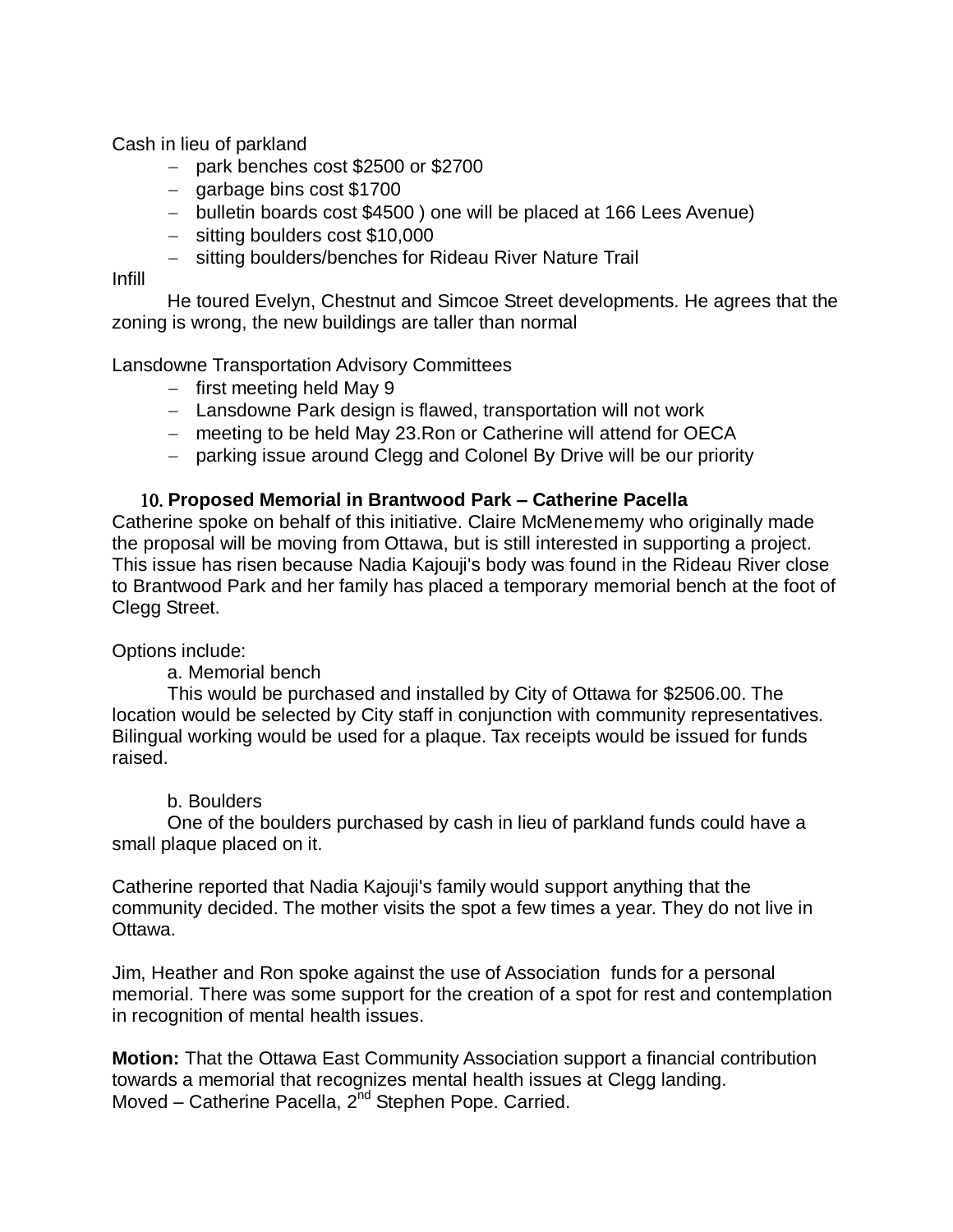Cash in lieu of parkland

- $-$  park benches cost \$2500 or \$2700
- $-$  garbage bins cost \$1700
- bulletin boards cost \$4500) one will be placed at 166 Lees Avenue)
- sitting boulders cost \$10,000
- sitting boulders/benches for Rideau River Nature Trail

Infill

He toured Evelyn, Chestnut and Simcoe Street developments. He agrees that the zoning is wrong, the new buildings are taller than normal

Lansdowne Transportation Advisory Committees

- $-$  first meeting held May 9
- Lansdowne Park design is flawed, transportation will not work
- meeting to be held May 23. Ron or Catherine will attend for OECA
- parking issue around Clegg and Colonel By Drive will be our priority

## **Proposed Memorial in Brantwood Park – Catherine Pacella**

Catherine spoke on behalf of this initiative. Claire McMenememy who originally made the proposal will be moving from Ottawa, but is still interested in supporting a project. This issue has risen because Nadia Kajouji's body was found in the Rideau River close to Brantwood Park and her family has placed a temporary memorial bench at the foot of Clegg Street.

Options include:

### a. Memorial bench

This would be purchased and installed by City of Ottawa for \$2506.00. The location would be selected by City staff in conjunction with community representatives. Bilingual working would be used for a plaque. Tax receipts would be issued for funds raised.

### b. Boulders

One of the boulders purchased by cash in lieu of parkland funds could have a small plaque placed on it.

Catherine reported that Nadia Kajouji's family would support anything that the community decided. The mother visits the spot a few times a year. They do not live in Ottawa.

Jim, Heather and Ron spoke against the use of Association funds for a personal memorial. There was some support for the creation of a spot for rest and contemplation in recognition of mental health issues.

**Motion:** That the Ottawa East Community Association support a financial contribution towards a memorial that recognizes mental health issues at Clegg landing. Moved – Catherine Pacella, 2<sup>nd</sup> Stephen Pope. Carried.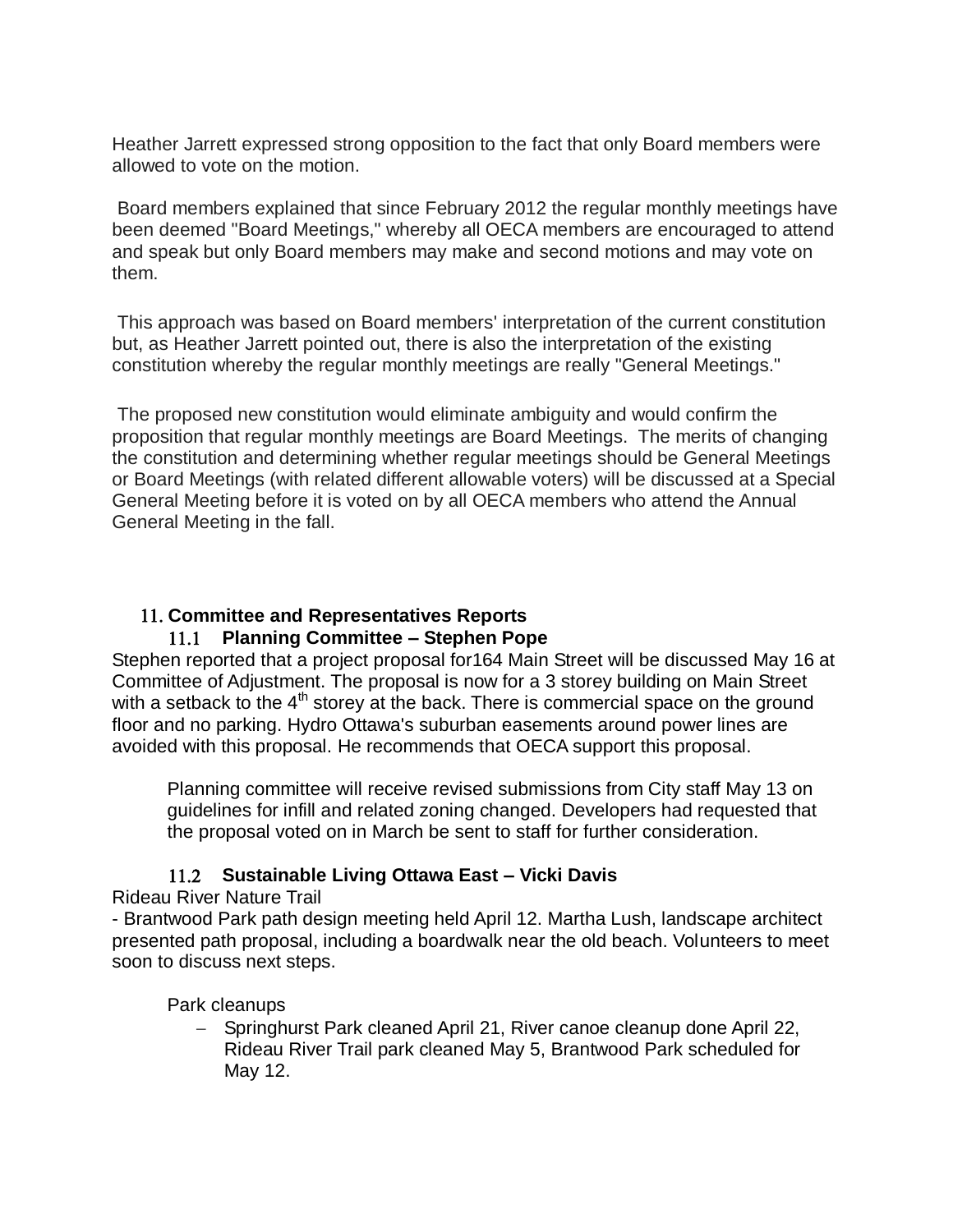Heather Jarrett expressed strong opposition to the fact that only Board members were allowed to vote on the motion.

Board members explained that since February 2012 the regular monthly meetings have been deemed "Board Meetings," whereby all OECA members are encouraged to attend and speak but only Board members may make and second motions and may vote on them.

This approach was based on Board members' interpretation of the current constitution but, as Heather Jarrett pointed out, there is also the interpretation of the existing constitution whereby the regular monthly meetings are really "General Meetings."

The proposed new constitution would eliminate ambiguity and would confirm the proposition that regular monthly meetings are Board Meetings. The merits of changing the constitution and determining whether regular meetings should be General Meetings or Board Meetings (with related different allowable voters) will be discussed at a Special General Meeting before it is voted on by all OECA members who attend the Annual General Meeting in the fall.

# **Committee and Representatives Reports**

# **Planning Committee – Stephen Pope**

Stephen reported that a project proposal for164 Main Street will be discussed May 16 at Committee of Adjustment. The proposal is now for a 3 storey building on Main Street with a setback to the  $4<sup>th</sup>$  storey at the back. There is commercial space on the ground floor and no parking. Hydro Ottawa's suburban easements around power lines are avoided with this proposal. He recommends that OECA support this proposal.

Planning committee will receive revised submissions from City staff May 13 on guidelines for infill and related zoning changed. Developers had requested that the proposal voted on in March be sent to staff for further consideration.

## **Sustainable Living Ottawa East – Vicki Davis**

Rideau River Nature Trail

- Brantwood Park path design meeting held April 12. Martha Lush, landscape architect presented path proposal, including a boardwalk near the old beach. Volunteers to meet soon to discuss next steps.

## Park cleanups

 Springhurst Park cleaned April 21, River canoe cleanup done April 22, Rideau River Trail park cleaned May 5, Brantwood Park scheduled for May 12.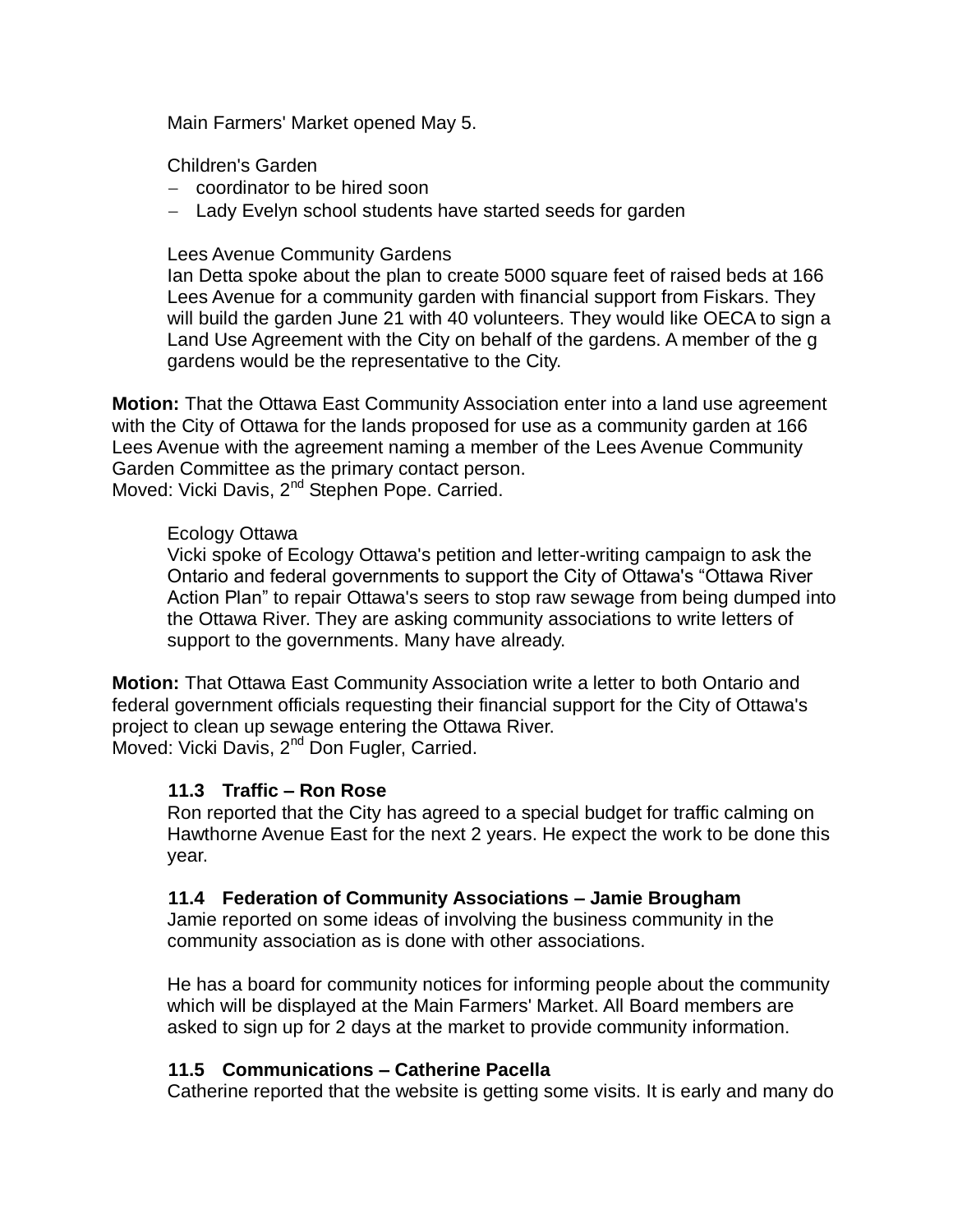Main Farmers' Market opened May 5.

Children's Garden

- coordinator to be hired soon
- Lady Evelyn school students have started seeds for garden

### Lees Avenue Community Gardens

Ian Detta spoke about the plan to create 5000 square feet of raised beds at 166 Lees Avenue for a community garden with financial support from Fiskars. They will build the garden June 21 with 40 volunteers. They would like OECA to sign a Land Use Agreement with the City on behalf of the gardens. A member of the g gardens would be the representative to the City.

**Motion:** That the Ottawa East Community Association enter into a land use agreement with the City of Ottawa for the lands proposed for use as a community garden at 166 Lees Avenue with the agreement naming a member of the Lees Avenue Community Garden Committee as the primary contact person. Moved: Vicki Davis, 2<sup>nd</sup> Stephen Pope. Carried.

#### Ecology Ottawa

Vicki spoke of Ecology Ottawa's petition and letter-writing campaign to ask the Ontario and federal governments to support the City of Ottawa's "Ottawa River Action Plan" to repair Ottawa's seers to stop raw sewage from being dumped into the Ottawa River. They are asking community associations to write letters of support to the governments. Many have already.

**Motion:** That Ottawa East Community Association write a letter to both Ontario and federal government officials requesting their financial support for the City of Ottawa's project to clean up sewage entering the Ottawa River. Moved: Vicki Davis, 2<sup>nd</sup> Don Fugler, Carried.

### **11.3 Traffic – Ron Rose**

Ron reported that the City has agreed to a special budget for traffic calming on Hawthorne Avenue East for the next 2 years. He expect the work to be done this year.

### **11.4 Federation of Community Associations – Jamie Brougham**

Jamie reported on some ideas of involving the business community in the community association as is done with other associations.

He has a board for community notices for informing people about the community which will be displayed at the Main Farmers' Market. All Board members are asked to sign up for 2 days at the market to provide community information.

### **11.5 Communications – Catherine Pacella**

Catherine reported that the website is getting some visits. It is early and many do